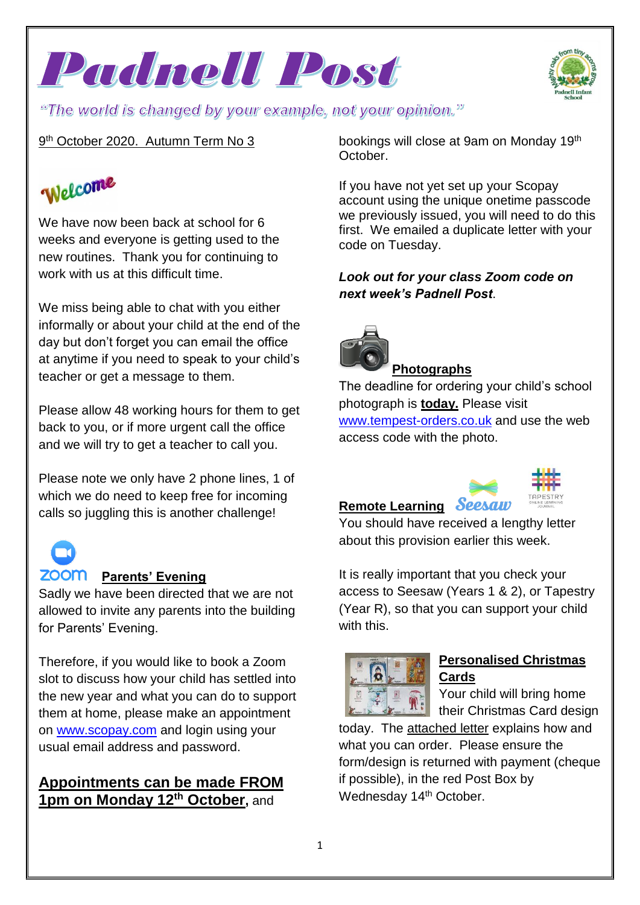



### 9<sup>th</sup> October 2020. Autumn Term No 3

# Welcome

We have now been back at school for 6 weeks and everyone is getting used to the new routines. Thank you for continuing to work with us at this difficult time.

We miss being able to chat with you either informally or about your child at the end of the day but don't forget you can email the office at anytime if you need to speak to your child's teacher or get a message to them.

Please allow 48 working hours for them to get back to you, or if more urgent call the office and we will try to get a teacher to call you.

Please note we only have 2 phone lines, 1 of which we do need to keep free for incoming calls so juggling this is another challenge!

#### **ZOOM** Parents' Evening

Sadly we have been directed that we are not allowed to invite any parents into the building for Parents' Evening.

Therefore, if you would like to book a Zoom slot to discuss how your child has settled into the new year and what you can do to support them at home, please make an appointment on [www.scopay.com](http://www.scopay.com/) and login using your usual email address and password.

# **Appointments can be made FROM 1pm on Monday 12th October,** and

bookings will close at 9am on Monday 19th October.

If you have not yet set up your Scopay account using the unique onetime passcode we previously issued, you will need to do this first. We emailed a duplicate letter with your code on Tuesday.

### *Look out for your class Zoom code on next week's Padnell Post*.



#### **Photographs**

The deadline for ordering your child's school photograph is **today.** Please visit [www.tempest-orders.co.uk](http://www.tempest-orders.co.uk/) and use the web access code with the photo.

# **Remote Learning**



You should have received a lengthy letter about this provision earlier this week.

It is really important that you check your access to Seesaw (Years 1 & 2), or Tapestry (Year R), so that you can support your child with this.



# **Personalised Christmas Cards**

Your child will bring home their Christmas Card design

today. The attached letter explains how and what you can order. Please ensure the form/design is returned with payment (cheque if possible), in the red Post Box by Wednesday 14<sup>th</sup> October.

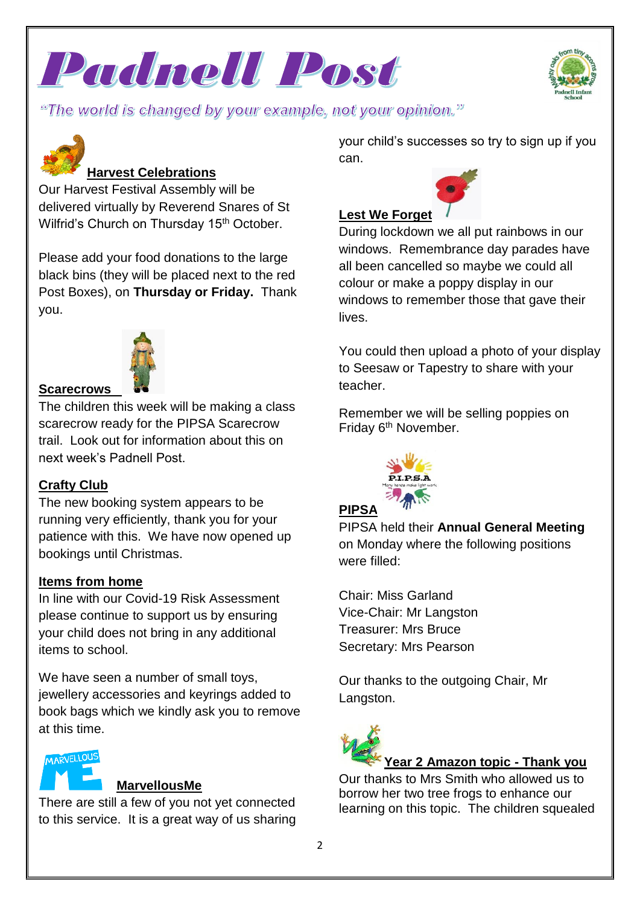



"The world is changed by your example, not your opinion."



# **Harvest Celebrations**

Our Harvest Festival Assembly will be delivered virtually by Reverend Snares of St Wilfrid's Church on Thursday 15<sup>th</sup> October.

Please add your food donations to the large black bins (they will be placed next to the red Post Boxes), on **Thursday or Friday.** Thank you.



#### **Scarecrows**

The children this week will be making a class scarecrow ready for the PIPSA Scarecrow trail. Look out for information about this on next week's Padnell Post.

### **Crafty Club**

The new booking system appears to be running very efficiently, thank you for your patience with this. We have now opened up bookings until Christmas.

#### **Items from home**

In line with our Covid-19 Risk Assessment please continue to support us by ensuring your child does not bring in any additional items to school.

We have seen a number of small toys, jewellery accessories and keyrings added to book bags which we kindly ask you to remove at this time.



#### **MarvellousMe**

There are still a few of you not yet connected to this service. It is a great way of us sharing your child's successes so try to sign up if you can.



# **Lest We Forget**

During lockdown we all put rainbows in our windows. Remembrance day parades have all been cancelled so maybe we could all colour or make a poppy display in our windows to remember those that gave their lives.

You could then upload a photo of your display to Seesaw or Tapestry to share with your teacher.

Remember we will be selling poppies on Friday 6<sup>th</sup> November.



#### **PIPSA**

PIPSA held their **Annual General Meeting** on Monday where the following positions were filled:

Chair: Miss Garland Vice-Chair: Mr Langston Treasurer: Mrs Bruce Secretary: Mrs Pearson

Our thanks to the outgoing Chair, Mr Langston.



Our thanks to Mrs Smith who allowed us to borrow her two tree frogs to enhance our learning on this topic. The children squealed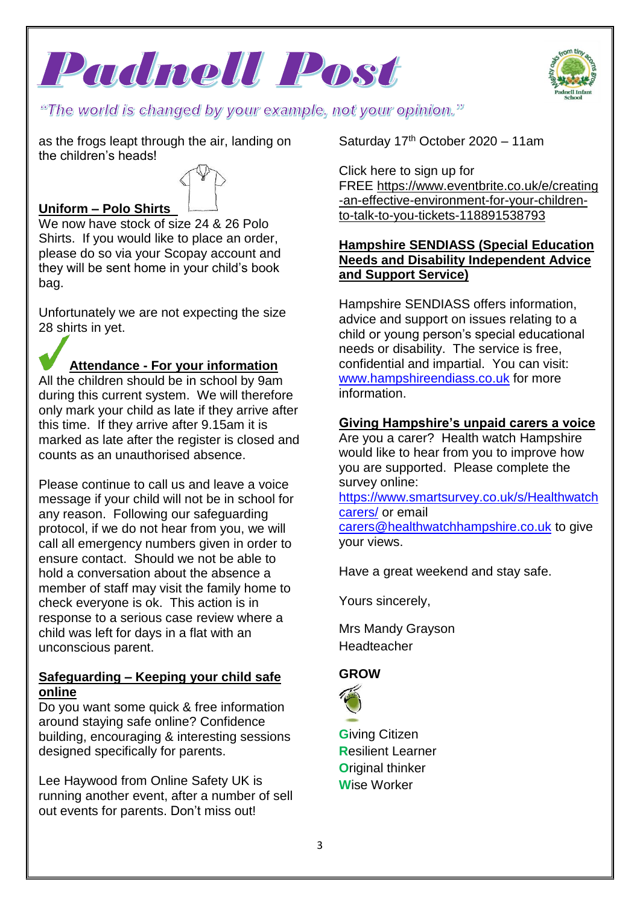



"The world is changed by your example, not your opinion."

as the frogs leapt through the air, landing on the children's heads!

# **Uniform – Polo Shirts**

We now have stock of size 24 & 26 Polo Shirts. If you would like to place an order, please do so via your Scopay account and they will be sent home in your child's book bag.

Unfortunately we are not expecting the size 28 shirts in yet.

### **Attendance - For your information**

All the children should be in school by 9am during this current system. We will therefore only mark your child as late if they arrive after this time. If they arrive after 9.15am it is marked as late after the register is closed and counts as an unauthorised absence.

Please continue to call us and leave a voice message if your child will not be in school for any reason. Following our safeguarding protocol, if we do not hear from you, we will call all emergency numbers given in order to ensure contact. Should we not be able to hold a conversation about the absence a member of staff may visit the family home to check everyone is ok. This action is in response to a serious case review where a child was left for days in a flat with an unconscious parent.

#### **Safeguarding – Keeping your child safe online**

Do you want some quick & free information around staying safe online? Confidence building, encouraging & interesting sessions designed specifically for parents.

Lee Haywood from Online Safety UK is running another event, after a number of sell out events for parents. Don't miss out!

Saturday 17th October 2020 – 11am

Click here to sign up for FREE [https://www.eventbrite.co.uk/e/creating](https://www.eventbrite.co.uk/e/creating-an-effective-environment-for-your-children-to-talk-to-you-tickets-118891538793) [-an-effective-environment-for-your-children](https://www.eventbrite.co.uk/e/creating-an-effective-environment-for-your-children-to-talk-to-you-tickets-118891538793)[to-talk-to-you-tickets-118891538793](https://www.eventbrite.co.uk/e/creating-an-effective-environment-for-your-children-to-talk-to-you-tickets-118891538793)

#### **Hampshire SENDIASS (Special Education Needs and Disability Independent Advice and Support Service)**

Hampshire SENDIASS offers information, advice and support on issues relating to a child or young person's special educational needs or disability. The service is free, confidential and impartial. You can visit: [www.hampshireendiass.co.uk](http://www.hampshireendiass.co.uk/) for more information.

#### **Giving Hampshire's unpaid carers a voice**

Are you a carer? Health watch Hampshire would like to hear from you to improve how you are supported. Please complete the survey online:

[https://www.smartsurvey.co.uk/s/Healthwatch](https://www.smartsurvey.co.uk/s/Healthwatchcarers/) [carers/](https://www.smartsurvey.co.uk/s/Healthwatchcarers/) or email [carers@healthwatchhampshire.co.uk](mailto:carers@healthwatchhampshire.co.uk) to give your views.

Have a great weekend and stay safe.

Yours sincerely,

Mrs Mandy Grayson Headteacher

### **GROW**



**G**iving Citizen **R**esilient Learner **O**riginal thinker **W**ise Worker